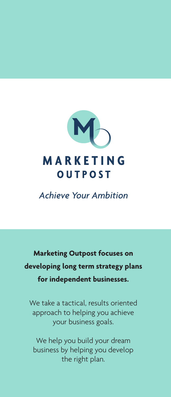

**Achieve Your Ambition** 

**Marketing Outpost focuses on developing long term strategy plans for independent businesses.**

We take a tactical, results oriented approach to helping you achieve your business goals.

We help you build your dream business by helping you develop the right plan.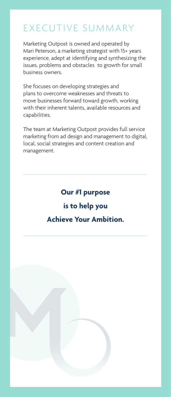# EXECUTIVE SUMMARY

Marketing Outpost is owned and operated by Mari Peterson, a marketing strategist with 15+ years experience, adept at identifying and synthesizing the issues, problems and obstacles to growth for small business owners.

She focuses on developing strategies and plans to overcome weaknesses and threats to move businesses forward toward growth, working with their inherent talents, available resources and capabilities.

The team at Marketing Outpost provides full service marketing from ad design and management to digital, local, social strategies and content creation and management.

# **Our #1 purpose is to help you Achieve Your Ambition.**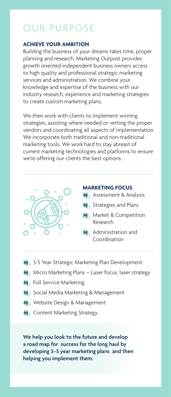# OUR PURPOSE

### **ACHIEVE YOUR AMBITION**

Building the business of your dreams takes time, proper planning and research. Marketing Outpost provides growth oriented independent business owners access to high quality and professional strategic marketing services and administration. We combine your knowledge and expertise of the business with our industry research, experience and marketing strategies to create custom marketing plans.

We then work with clients to implement winning strategies, assisting where needed or vetting the proper vendors and coordinating all aspects of implementation. We incorporate both traditional and non-traditional marketing tools. We work hard to stay abreast of current marketing technologies and platforms to ensure we're offering our clients the best options.



#### **MARKETING FOCUS**

- M<sub>2</sub> Assessment & Analysis
- M<sub>2</sub> Strategies and Plans
- **M**, Market & Competition Research
- M<sub>2</sub> Administration and Coordination
- **M**<sub>2</sub> 3-5 Year Strategic Marketing Plan Development
- $M<sub>1</sub>$  Micro Marketing Plans Laser focus, laser strategy
- M<sub>2</sub> Full Service Marketing
- M<sub>2</sub> Social Media Marketing & Management
- M<sub>></sub> Website Design & Management
- M<sub>2</sub> Content Marketing Strategy

**We help you look to the future and develop a road map for success for the long haul by developing 3–5 year marketing plans and then helping you implement them.**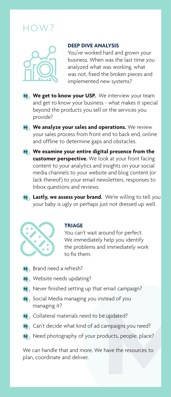# $H\bigcap V$



#### **DEEP DIVE ANALYSIS**

You've worked hard and grown your business. When was the last time you analyzed what was working, what was not, fixed the broken pieces and implemented new systems?

- **M** We get to know your USP. We interview your team and get to know your business - what makes it special beyond the products you sell or the services you provide?
- **M**, **We analyze your sales and operations.** We review your sales process from front end to back end, online and offline to determine gaps and obstacles.
- **M** We examine your entire digital presence from the **customer perspective.** We look at your front facing content to your analytics and insights on your social media channels to your website and blog content (or lack thereof) to your email newsletters, responses to Inbox questions and reviews.
- **M**, Lastly, we assess your brand. We're willing to tell you your baby is ugly or perhaps just not dressed up well.



#### **TRIAGE**

You can't wait around for perfect. We immediately help you identify the problems and immediately work to fix them.

- $M_{\odot}$  Brand need a refresh?
- M<sub>1</sub> Website needs updating?
- $M_{\odot}$  Never finished setting up that email campaign?
- $M<sub>3</sub>$  Social Media managing you instead of you managing it?
- M<sub>2</sub> Collateral materials need to be updated?
- $M_{\odot}$  Can't decide what kind of ad campaigns you need?
- M<sub>2</sub> Need photography of your products, people, place?

We can handle that and more. We have the resources to plan, coordinate and deliver.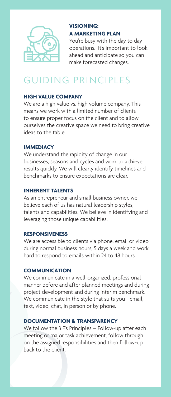

## **VISIONING: A MARKETING PLAN**

You're busy with the day to day operations. It's important to look ahead and anticipate so you can make forecasted changes.

# GUIDING PRINCIPLES

### **HIGH VALUE COMPANY**

We are a high value vs. high volume company. This means we work with a limited number of clients to ensure proper focus on the client and to allow ourselves the creative space we need to bring creative ideas to the table.

#### **IMMEDIACY**

We understand the rapidity of change in our businesses, seasons and cycles and work to achieve results quickly. We will clearly identify timelines and benchmarks to ensure expectations are clear.

### **INHERENT TALENTS**

As an entrepreneur and small business owner, we believe each of us has natural leadership styles, talents and capabilities. We believe in identifying and leveraging those unique capabilities.

### **RESPONSIVENESS**

We are accessible to clients via phone, email or video during normal business hours, 5 days a week and work hard to respond to emails within 24 to 48 hours.

### **COMMUNICATION**

We communicate in a well-organized, professional manner before and after planned meetings and during project development and during interim benchmark. We communicate in the style that suits you - email, text, video, chat, in person or by phone.

### **DOCUMENTATION & TRANSPARENCY**

We follow the 3 F's Principles – Follow-up after each meeting or major task achievement, follow through on the assigned responsibilities and then follow-up back to the client.